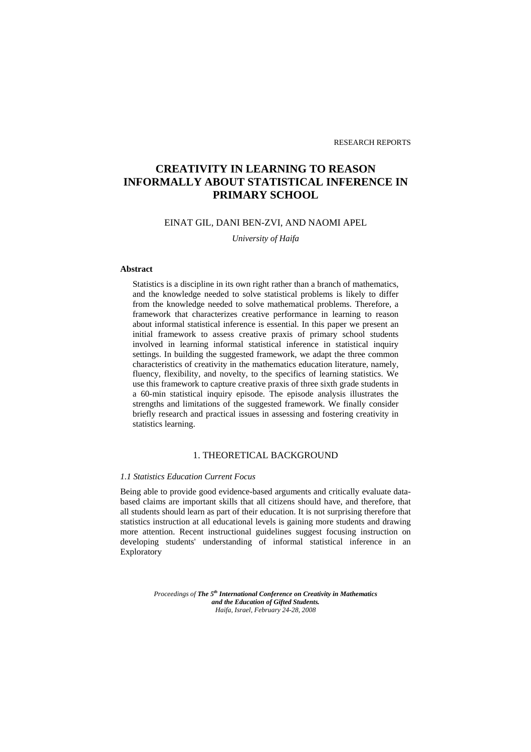# **CREATIVITY IN LEARNING TO REASON INFORMALLY ABOUT STATISTICAL INFERENCE IN PRIMARY SCHOOL**

## EINAT GIL, DANI BEN-ZVI, AND NAOMI APEL

*University of Haifa* 

### **Abstract**

Statistics is a discipline in its own right rather than a branch of mathematics, and the knowledge needed to solve statistical problems is likely to differ from the knowledge needed to solve mathematical problems. Therefore, a framework that characterizes creative performance in learning to reason about informal statistical inference is essential. In this paper we present an initial framework to assess creative praxis of primary school students involved in learning informal statistical inference in statistical inquiry settings. In building the suggested framework, we adapt the three common characteristics of creativity in the mathematics education literature, namely, fluency, flexibility, and novelty, to the specifics of learning statistics. We use this framework to capture creative praxis of three sixth grade students in a 60-min statistical inquiry episode. The episode analysis illustrates the strengths and limitations of the suggested framework. We finally consider briefly research and practical issues in assessing and fostering creativity in statistics learning.

# 1. THEORETICAL BACKGROUND

### *1.1 Statistics Education Current Focus*

Being able to provide good evidence-based arguments and critically evaluate databased claims are important skills that all citizens should have, and therefore, that all students should learn as part of their education. It is not surprising therefore that statistics instruction at all educational levels is gaining more students and drawing more attention. Recent instructional guidelines suggest focusing instruction on developing students' understanding of informal statistical inference in an **Exploratory** 

> *Proceedings of The 5th International Conference on Creativity in Mathematics and the Education of Gifted Students. Haifa, Israel, February 24-28, 2008*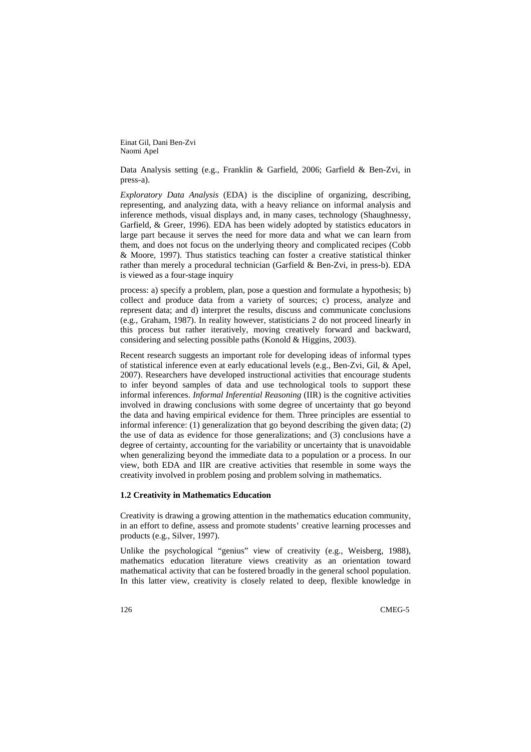Einat Gil, Dani Ben-Zvi Naomi Apel

Data Analysis setting (e.g., Franklin & Garfield, 2006; Garfield & Ben-Zvi, in press-a).

*Exploratory Data Analysis* (EDA) is the discipline of organizing, describing, representing, and analyzing data, with a heavy reliance on informal analysis and inference methods, visual displays and, in many cases, technology (Shaughnessy, Garfield, & Greer, 1996). EDA has been widely adopted by statistics educators in large part because it serves the need for more data and what we can learn from them, and does not focus on the underlying theory and complicated recipes (Cobb & Moore, 1997). Thus statistics teaching can foster a creative statistical thinker rather than merely a procedural technician (Garfield & Ben-Zvi, in press-b). EDA is viewed as a four-stage inquiry

process: a) specify a problem, plan, pose a question and formulate a hypothesis; b) collect and produce data from a variety of sources; c) process, analyze and represent data; and d) interpret the results, discuss and communicate conclusions (e.g., Graham, 1987). In reality however, statisticians 2 do not proceed linearly in this process but rather iteratively, moving creatively forward and backward, considering and selecting possible paths (Konold & Higgins, 2003).

Recent research suggests an important role for developing ideas of informal types of statistical inference even at early educational levels (e.g., Ben-Zvi, Gil, & Apel, 2007). Researchers have developed instructional activities that encourage students to infer beyond samples of data and use technological tools to support these informal inferences. *Informal Inferential Reasoning* (IIR) is the cognitive activities involved in drawing conclusions with some degree of uncertainty that go beyond the data and having empirical evidence for them. Three principles are essential to informal inference: (1) generalization that go beyond describing the given data; (2) the use of data as evidence for those generalizations; and (3) conclusions have a degree of certainty, accounting for the variability or uncertainty that is unavoidable when generalizing beyond the immediate data to a population or a process. In our view, both EDA and IIR are creative activities that resemble in some ways the creativity involved in problem posing and problem solving in mathematics.

#### **1.2 Creativity in Mathematics Education**

Creativity is drawing a growing attention in the mathematics education community, in an effort to define, assess and promote students' creative learning processes and products (e.g., Silver, 1997).

Unlike the psychological "genius" view of creativity (e.g., Weisberg, 1988), mathematics education literature views creativity as an orientation toward mathematical activity that can be fostered broadly in the general school population. In this latter view, creativity is closely related to deep, flexible knowledge in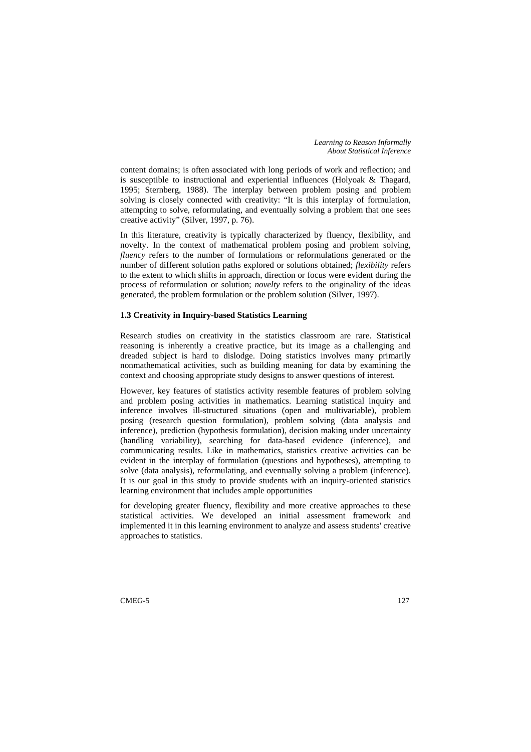*Learning to Reason Informally About Statistical Inference* 

content domains; is often associated with long periods of work and reflection; and is susceptible to instructional and experiential influences (Holyoak & Thagard, 1995; Sternberg, 1988). The interplay between problem posing and problem solving is closely connected with creativity: "It is this interplay of formulation, attempting to solve, reformulating, and eventually solving a problem that one sees creative activity" (Silver, 1997, p. 76).

In this literature, creativity is typically characterized by fluency, flexibility, and novelty. In the context of mathematical problem posing and problem solving, *fluency* refers to the number of formulations or reformulations generated or the number of different solution paths explored or solutions obtained; *flexibility* refers to the extent to which shifts in approach, direction or focus were evident during the process of reformulation or solution; *novelty* refers to the originality of the ideas generated, the problem formulation or the problem solution (Silver, 1997).

### **1.3 Creativity in Inquiry-based Statistics Learning**

Research studies on creativity in the statistics classroom are rare. Statistical reasoning is inherently a creative practice, but its image as a challenging and dreaded subject is hard to dislodge. Doing statistics involves many primarily nonmathematical activities, such as building meaning for data by examining the context and choosing appropriate study designs to answer questions of interest.

However, key features of statistics activity resemble features of problem solving and problem posing activities in mathematics. Learning statistical inquiry and inference involves ill-structured situations (open and multivariable), problem posing (research question formulation), problem solving (data analysis and inference), prediction (hypothesis formulation), decision making under uncertainty (handling variability), searching for data-based evidence (inference), and communicating results. Like in mathematics, statistics creative activities can be evident in the interplay of formulation (questions and hypotheses), attempting to solve (data analysis), reformulating, and eventually solving a problem (inference). It is our goal in this study to provide students with an inquiry-oriented statistics learning environment that includes ample opportunities

for developing greater fluency, flexibility and more creative approaches to these statistical activities. We developed an initial assessment framework and implemented it in this learning environment to analyze and assess students' creative approaches to statistics.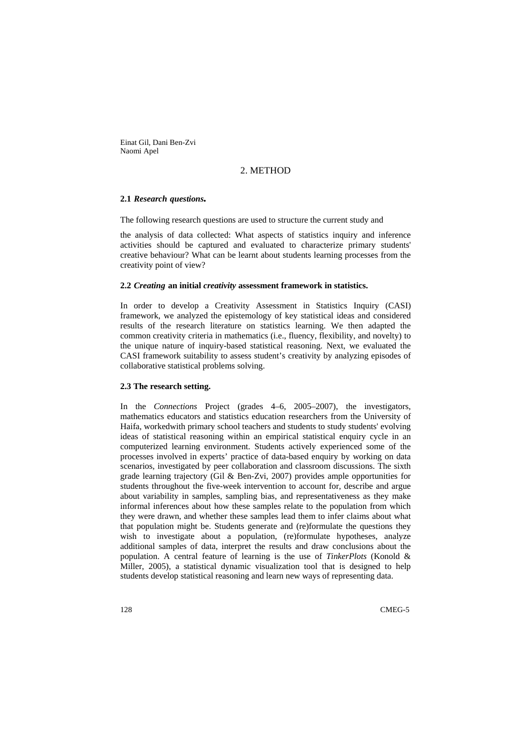Einat Gil, Dani Ben-Zvi Naomi Apel

### 2. METHOD

### **2.1** *Research questions.*

The following research questions are used to structure the current study and

the analysis of data collected: What aspects of statistics inquiry and inference activities should be captured and evaluated to characterize primary students' creative behaviour? What can be learnt about students learning processes from the creativity point of view?

#### **2.2** *Creating* **an initial** *creativity* **assessment framework in statistics.**

In order to develop a Creativity Assessment in Statistics Inquiry (CASI) framework, we analyzed the epistemology of key statistical ideas and considered results of the research literature on statistics learning. We then adapted the common creativity criteria in mathematics (i.e., fluency, flexibility, and novelty) to the unique nature of inquiry-based statistical reasoning. Next, we evaluated the CASI framework suitability to assess student's creativity by analyzing episodes of collaborative statistical problems solving.

### **2.3 The research setting.**

In the *Connections* Project (grades 4–6, 2005–2007), the investigators, mathematics educators and statistics education researchers from the University of Haifa, workedwith primary school teachers and students to study students' evolving ideas of statistical reasoning within an empirical statistical enquiry cycle in an computerized learning environment. Students actively experienced some of the processes involved in experts' practice of data-based enquiry by working on data scenarios, investigated by peer collaboration and classroom discussions. The sixth grade learning trajectory (Gil & Ben-Zvi, 2007) provides ample opportunities for students throughout the five-week intervention to account for, describe and argue about variability in samples, sampling bias, and representativeness as they make informal inferences about how these samples relate to the population from which they were drawn, and whether these samples lead them to infer claims about what that population might be. Students generate and (re)formulate the questions they wish to investigate about a population, (re)formulate hypotheses, analyze additional samples of data, interpret the results and draw conclusions about the population. A central feature of learning is the use of *TinkerPlots* (Konold & Miller, 2005), a statistical dynamic visualization tool that is designed to help students develop statistical reasoning and learn new ways of representing data.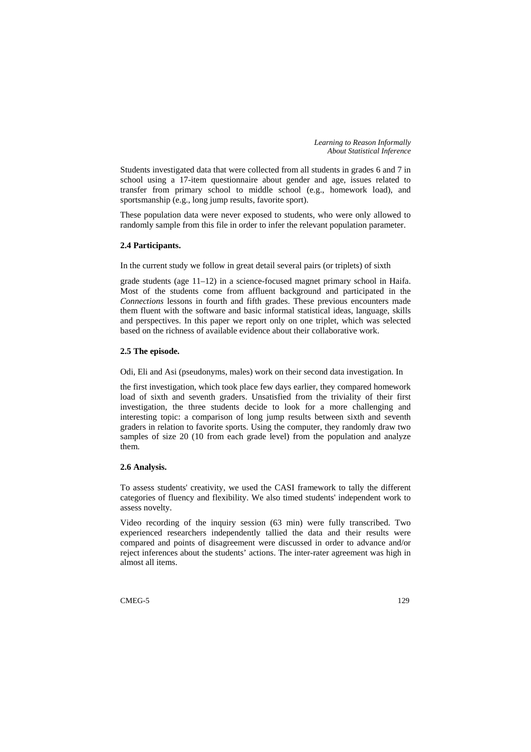*Learning to Reason Informally About Statistical Inference* 

Students investigated data that were collected from all students in grades 6 and 7 in school using a 17-item questionnaire about gender and age, issues related to transfer from primary school to middle school (e.g., homework load), and sportsmanship (e.g., long jump results, favorite sport).

These population data were never exposed to students, who were only allowed to randomly sample from this file in order to infer the relevant population parameter.

### **2.4 Participants.**

In the current study we follow in great detail several pairs (or triplets) of sixth

grade students (age 11–12) in a science-focused magnet primary school in Haifa. Most of the students come from affluent background and participated in the *Connections* lessons in fourth and fifth grades. These previous encounters made them fluent with the software and basic informal statistical ideas, language, skills and perspectives. In this paper we report only on one triplet, which was selected based on the richness of available evidence about their collaborative work.

### **2.5 The episode.**

Odi, Eli and Asi (pseudonyms, males) work on their second data investigation. In

the first investigation, which took place few days earlier, they compared homework load of sixth and seventh graders. Unsatisfied from the triviality of their first investigation, the three students decide to look for a more challenging and interesting topic: a comparison of long jump results between sixth and seventh graders in relation to favorite sports. Using the computer, they randomly draw two samples of size 20 (10 from each grade level) from the population and analyze them.

### **2.6 Analysis.**

To assess students' creativity, we used the CASI framework to tally the different categories of fluency and flexibility. We also timed students' independent work to assess novelty.

Video recording of the inquiry session (63 min) were fully transcribed. Two experienced researchers independently tallied the data and their results were compared and points of disagreement were discussed in order to advance and/or reject inferences about the students' actions. The inter-rater agreement was high in almost all items.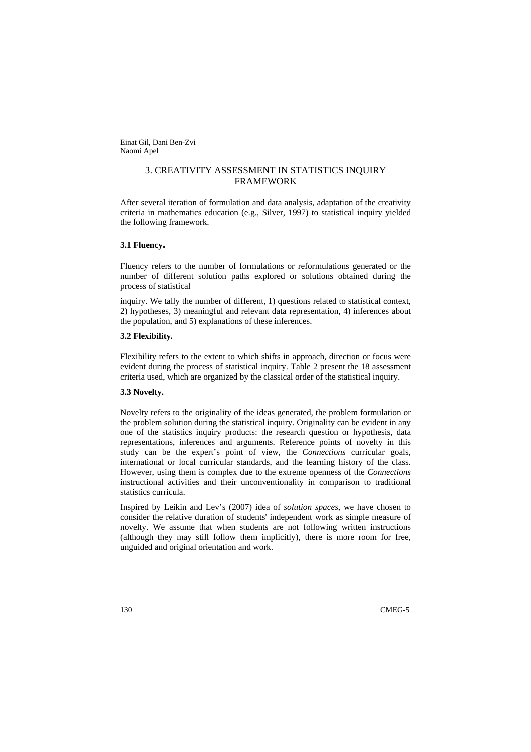Einat Gil, Dani Ben-Zvi Naomi Apel

# 3. CREATIVITY ASSESSMENT IN STATISTICS INQUIRY FRAMEWORK

After several iteration of formulation and data analysis, adaptation of the creativity criteria in mathematics education (e.g., Silver, 1997) to statistical inquiry yielded the following framework.

#### **3.1 Fluency.**

Fluency refers to the number of formulations or reformulations generated or the number of different solution paths explored or solutions obtained during the process of statistical

inquiry. We tally the number of different, 1) questions related to statistical context, 2) hypotheses, 3) meaningful and relevant data representation, 4) inferences about the population, and 5) explanations of these inferences.

### **3.2 Flexibility***.*

Flexibility refers to the extent to which shifts in approach, direction or focus were evident during the process of statistical inquiry. Table 2 present the 18 assessment criteria used, which are organized by the classical order of the statistical inquiry.

#### **3.3 Novelty.**

Novelty refers to the originality of the ideas generated, the problem formulation or the problem solution during the statistical inquiry. Originality can be evident in any one of the statistics inquiry products: the research question or hypothesis, data representations, inferences and arguments. Reference points of novelty in this study can be the expert's point of view, the *Connections* curricular goals, international or local curricular standards, and the learning history of the class. However, using them is complex due to the extreme openness of the *Connections* instructional activities and their unconventionality in comparison to traditional statistics curricula.

Inspired by Leikin and Lev's (2007) idea of *solution spaces*, we have chosen to consider the relative duration of students' independent work as simple measure of novelty. We assume that when students are not following written instructions (although they may still follow them implicitly), there is more room for free, unguided and original orientation and work.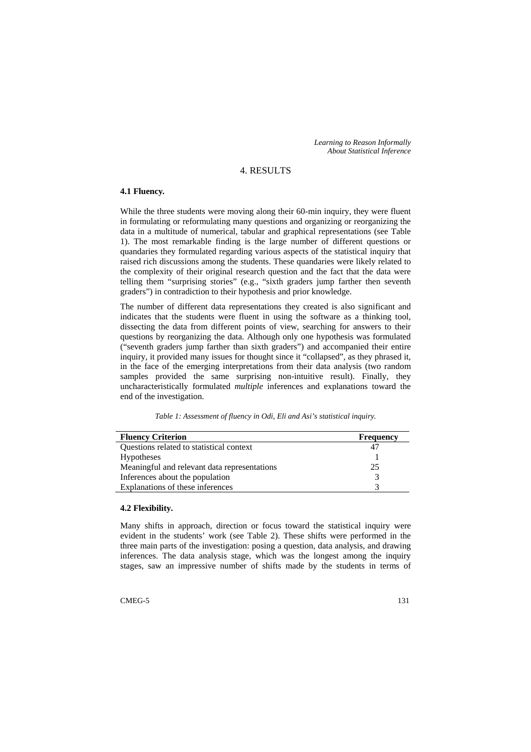*Learning to Reason Informally About Statistical Inference* 

### 4. RESULTS

# **4.1 Fluency***.*

While the three students were moving along their 60-min inquiry, they were fluent in formulating or reformulating many questions and organizing or reorganizing the data in a multitude of numerical, tabular and graphical representations (see Table 1). The most remarkable finding is the large number of different questions or quandaries they formulated regarding various aspects of the statistical inquiry that raised rich discussions among the students. These quandaries were likely related to the complexity of their original research question and the fact that the data were telling them "surprising stories" (e.g., "sixth graders jump farther then seventh graders") in contradiction to their hypothesis and prior knowledge.

The number of different data representations they created is also significant and indicates that the students were fluent in using the software as a thinking tool, dissecting the data from different points of view, searching for answers to their questions by reorganizing the data. Although only one hypothesis was formulated ("seventh graders jump farther than sixth graders") and accompanied their entire inquiry, it provided many issues for thought since it "collapsed", as they phrased it, in the face of the emerging interpretations from their data analysis (two random samples provided the same surprising non-intuitive result). Finally, they uncharacteristically formulated *multiple* inferences and explanations toward the end of the investigation.

*Table 1: Assessment of fluency in Odi, Eli and Asi's statistical inquiry.* 

| <b>Fluency Criterion</b>                     | <b>Frequency</b> |
|----------------------------------------------|------------------|
| Questions related to statistical context     | 47               |
| <b>Hypotheses</b>                            |                  |
| Meaningful and relevant data representations | 25               |
| Inferences about the population              |                  |
| Explanations of these inferences             |                  |

### **4.2 Flexibility.**

Many shifts in approach, direction or focus toward the statistical inquiry were evident in the students' work (see Table 2). These shifts were performed in the three main parts of the investigation: posing a question, data analysis, and drawing inferences. The data analysis stage, which was the longest among the inquiry stages, saw an impressive number of shifts made by the students in terms of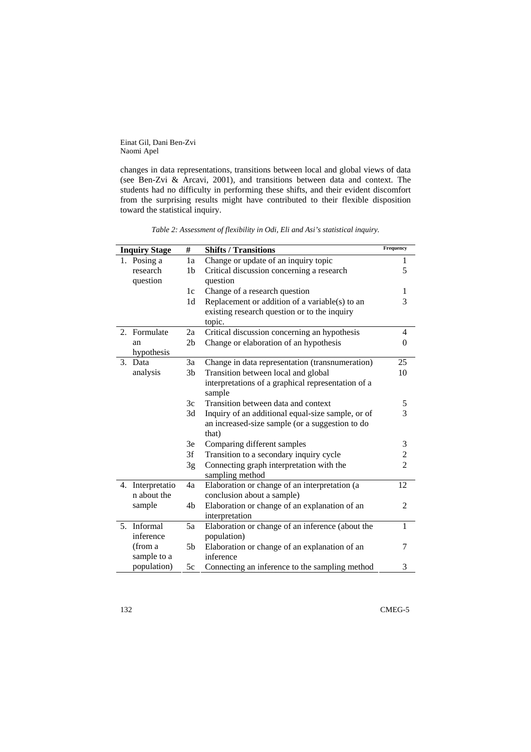Einat Gil, Dani Ben-Zvi Naomi Apel

changes in data representations, transitions between local and global views of data (see Ben-Zvi & Arcavi, 2001), and transitions between data and context. The students had no difficulty in performing these shifts, and their evident discomfort from the surprising results might have contributed to their flexible disposition toward the statistical inquiry.

*Table 2: Assessment of flexibility in Odi, Eli and Asi's statistical inquiry.* 

|    | <b>Inquiry Stage</b> | #              | <b>Shifts / Transitions</b>                        | Frequency      |
|----|----------------------|----------------|----------------------------------------------------|----------------|
|    | 1. Posing a          | 1a             | Change or update of an inquiry topic               | 1              |
|    | research             | 1 <sub>b</sub> | Critical discussion concerning a research          | 5              |
|    | question             |                | question                                           |                |
|    |                      | 1c             | Change of a research question                      | 1              |
|    |                      | 1 <sub>d</sub> | Replacement or addition of a variable(s) to an     | 3              |
|    |                      |                | existing research question or to the inquiry       |                |
|    |                      |                | topic.                                             |                |
| 2. | Formulate            | 2a             | Critical discussion concerning an hypothesis       | 4              |
|    | an                   | 2 <sub>b</sub> | Change or elaboration of an hypothesis             | $\overline{0}$ |
|    | hypothesis           |                |                                                    |                |
| 3. | Data                 | 3a             | Change in data representation (transnumeration)    | 25             |
|    | analysis             | 3 <sub>b</sub> | Transition between local and global                | 10             |
|    |                      |                | interpretations of a graphical representation of a |                |
|    |                      |                | sample                                             |                |
|    |                      | 3c             | Transition between data and context                | 5              |
|    |                      | 3d             | Inquiry of an additional equal-size sample, or of  | 3              |
|    |                      |                | an increased-size sample (or a suggestion to do    |                |
|    |                      |                | that)                                              |                |
|    |                      | 3e             | Comparing different samples                        | 3              |
|    |                      | 3f             | Transition to a secondary inquiry cycle            | $\frac{2}{2}$  |
|    |                      | 3g             | Connecting graph interpretation with the           |                |
|    |                      |                | sampling method                                    |                |
| 4. | Interpretatio        | 4a             | Elaboration or change of an interpretation (a      | 12             |
|    | n about the          |                | conclusion about a sample)                         |                |
|    | sample               | 4b             | Elaboration or change of an explanation of an      | $\overline{2}$ |
|    |                      |                | interpretation                                     |                |
|    | 5. Informal          | 5a             | Elaboration or change of an inference (about the   | $\mathbf{1}$   |
|    | inference            |                | population)                                        |                |
|    | (from a              | 5b             | Elaboration or change of an explanation of an      | 7              |
|    | sample to a          |                | inference                                          |                |
|    | population)          | 5с             | Connecting an inference to the sampling method     | 3              |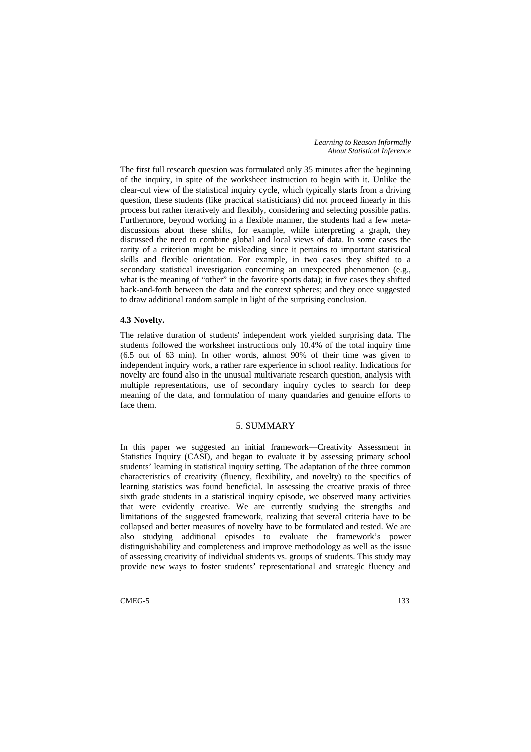*Learning to Reason Informally About Statistical Inference* 

The first full research question was formulated only 35 minutes after the beginning of the inquiry, in spite of the worksheet instruction to begin with it. Unlike the clear-cut view of the statistical inquiry cycle, which typically starts from a driving question, these students (like practical statisticians) did not proceed linearly in this process but rather iteratively and flexibly, considering and selecting possible paths. Furthermore, beyond working in a flexible manner, the students had a few metadiscussions about these shifts, for example, while interpreting a graph, they discussed the need to combine global and local views of data. In some cases the rarity of a criterion might be misleading since it pertains to important statistical skills and flexible orientation. For example, in two cases they shifted to a secondary statistical investigation concerning an unexpected phenomenon (e.g., what is the meaning of "other" in the favorite sports data); in five cases they shifted back-and-forth between the data and the context spheres; and they once suggested to draw additional random sample in light of the surprising conclusion.

#### **4.3 Novelty.**

The relative duration of students' independent work yielded surprising data. The students followed the worksheet instructions only 10.4% of the total inquiry time (6.5 out of 63 min). In other words, almost 90% of their time was given to independent inquiry work, a rather rare experience in school reality. Indications for novelty are found also in the unusual multivariate research question, analysis with multiple representations, use of secondary inquiry cycles to search for deep meaning of the data, and formulation of many quandaries and genuine efforts to face them.

# 5. SUMMARY

In this paper we suggested an initial framework––Creativity Assessment in Statistics Inquiry (CASI), and began to evaluate it by assessing primary school students' learning in statistical inquiry setting. The adaptation of the three common characteristics of creativity (fluency, flexibility, and novelty) to the specifics of learning statistics was found beneficial. In assessing the creative praxis of three sixth grade students in a statistical inquiry episode, we observed many activities that were evidently creative. We are currently studying the strengths and limitations of the suggested framework, realizing that several criteria have to be collapsed and better measures of novelty have to be formulated and tested. We are also studying additional episodes to evaluate the framework's power distinguishability and completeness and improve methodology as well as the issue of assessing creativity of individual students vs. groups of students. This study may provide new ways to foster students' representational and strategic fluency and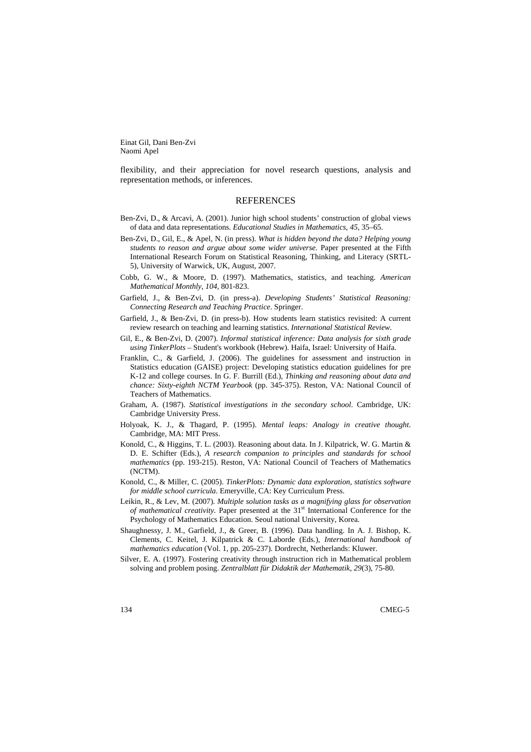Einat Gil, Dani Ben-Zvi Naomi Apel

flexibility, and their appreciation for novel research questions, analysis and representation methods, or inferences.

### **REFERENCES**

- Ben-Zvi, D., & Arcavi, A. (2001). Junior high school students' construction of global views of data and data representations. *Educational Studies in Mathematics*, *45*, 35–65.
- Ben-Zvi, D., Gil, E., & Apel, N. (in press). *What is hidden beyond the data? Helping young students to reason and argue about some wider universe.* Paper presented at the Fifth International Research Forum on Statistical Reasoning, Thinking, and Literacy (SRTL-5), University of Warwick, UK, August, 2007.
- Cobb, G. W., & Moore, D. (1997). Mathematics, statistics, and teaching. *American Mathematical Monthly, 104*, 801-823.
- Garfield, J., & Ben-Zvi, D. (in press-a). *Developing Students' Statistical Reasoning: Connecting Research and Teaching Practice*. Springer.
- Garfield, J., & Ben-Zvi, D. (in press-b). How students learn statistics revisited: A current review research on teaching and learning statistics. *International Statistical Review*.
- Gil, E., & Ben-Zvi, D. (2007). *Informal statistical inference: Data analysis for sixth grade using TinkerPlots* – Student's workbook (Hebrew). Haifa, Israel: University of Haifa.
- Franklin, C., & Garfield, J. (2006). The guidelines for assessment and instruction in Statistics education (GAISE) project: Developing statistics education guidelines for pre K-12 and college courses. In G. F. Burrill (Ed.), *Thinking and reasoning about data and chance: Sixty-eighth NCTM Yearbook* (pp. 345-375). Reston, VA: National Council of Teachers of Mathematics.
- Graham, A. (1987). *Statistical investigations in the secondary school*. Cambridge, UK: Cambridge University Press.
- Holyoak, K. J., & Thagard, P. (1995). *Mental leaps: Analogy in creative thought*. Cambridge, MA: MIT Press.
- Konold, C., & Higgins, T. L. (2003). Reasoning about data. In J. Kilpatrick, W. G. Martin & D. E. Schifter (Eds.), *A research companion to principles and standards for school mathematics* (pp. 193-215). Reston, VA: National Council of Teachers of Mathematics (NCTM).
- Konold, C., & Miller, C. (2005). *TinkerPlots: Dynamic data exploration, statistics software for middle school curricula*. Emeryville, CA: Key Curriculum Press.
- Leikin, R., & Lev, M. (2007). *Multiple solution tasks as a magnifying glass for observation of mathematical creativity.* Paper presented at the 31<sup>st</sup> International Conference for the Psychology of Mathematics Education. Seoul national University, Korea.
- Shaughnessy, J. M., Garfield, J., & Greer, B. (1996). Data handling. In A. J. Bishop, K. Clements, C. Keitel, J. Kilpatrick & C. Laborde (Eds.), *International handbook of mathematics education* (Vol. 1, pp. 205-237). Dordrecht, Netherlands: Kluwer.
- Silver, E. A. (1997). Fostering creativity through instruction rich in Mathematical problem solving and problem posing. *Zentralblatt für Didaktik der Mathematik, 29*(3), 75-80.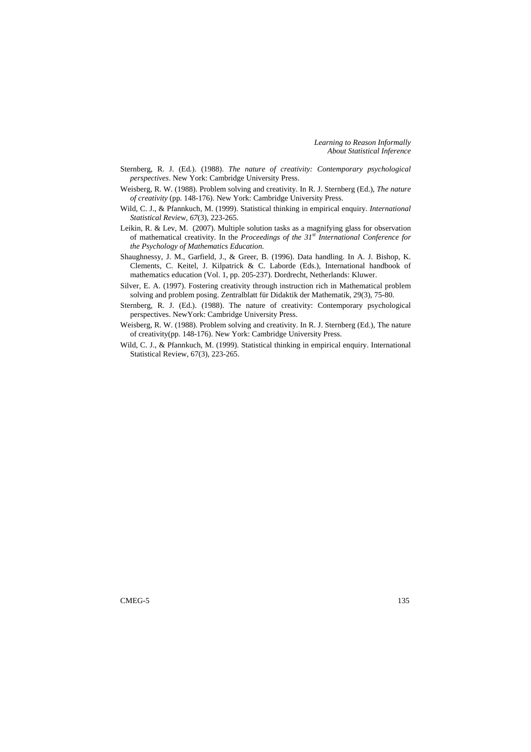*Learning to Reason Informally About Statistical Inference* 

- Sternberg, R. J. (Ed.). (1988). *The nature of creativity: Contemporary psychological perspectives*. New York: Cambridge University Press.
- Weisberg, R. W. (1988). Problem solving and creativity. In R. J. Sternberg (Ed.), *The nature of creativity* (pp. 148-176). New York: Cambridge University Press.
- Wild, C. J., & Pfannkuch, M. (1999). Statistical thinking in empirical enquiry. *International Statistical Review, 67*(3), 223-265.
- Leikin, R. & Lev, M. (2007). Multiple solution tasks as a magnifying glass for observation of mathematical creativity. In the *Proceedings of the 31st International Conference for the Psychology of Mathematics Education*.
- Shaughnessy, J. M., Garfield, J., & Greer, B. (1996). Data handling. In A. J. Bishop, K. Clements, C. Keitel, J. Kilpatrick & C. Laborde (Eds.), International handbook of mathematics education (Vol. 1, pp. 205-237). Dordrecht, Netherlands: Kluwer.
- Silver, E. A. (1997). Fostering creativity through instruction rich in Mathematical problem solving and problem posing. Zentralblatt für Didaktik der Mathematik, 29(3), 75-80.
- Sternberg, R. J. (Ed.). (1988). The nature of creativity: Contemporary psychological perspectives. NewYork: Cambridge University Press.
- Weisberg, R. W. (1988). Problem solving and creativity. In R. J. Sternberg (Ed.), The nature of creativity(pp. 148-176). New York: Cambridge University Press.
- Wild, C. J., & Pfannkuch, M. (1999). Statistical thinking in empirical enquiry. International Statistical Review, 67(3), 223-265.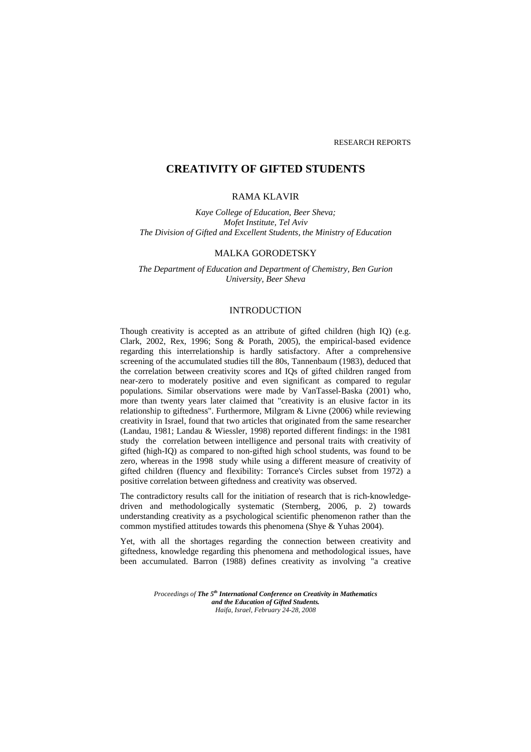# **CREATIVITY OF GIFTED STUDENTS**

# RAMA KLAVIR

*Kaye College of Education, Beer Sheva; Mofet Institute, Tel Aviv The Division of Gifted and Excellent Students, the Ministry of Education* 

### MALKA GORODETSKY

*The Department of Education and Department of Chemistry, Ben Gurion University, Beer Sheva* 

### INTRODUCTION

Though creativity is accepted as an attribute of gifted children (high IQ) (e.g. Clark, 2002, Rex, 1996; Song & Porath, 2005), the empirical-based evidence regarding this interrelationship is hardly satisfactory. After a comprehensive screening of the accumulated studies till the 80s, Tannenbaum (1983), deduced that the correlation between creativity scores and IQs of gifted children ranged from near-zero to moderately positive and even significant as compared to regular populations. Similar observations were made by VanTassel-Baska (2001) who, more than twenty years later claimed that "creativity is an elusive factor in its relationship to giftedness". Furthermore, Milgram & Livne (2006) while reviewing creativity in Israel, found that two articles that originated from the same researcher (Landau, 1981; Landau & Wiessler, 1998) reported different findings: in the 1981 study the correlation between intelligence and personal traits with creativity of gifted (high-IQ) as compared to non-gifted high school students, was found to be zero, whereas in the 1998 study while using a different measure of creativity of gifted children (fluency and flexibility: Torrance's Circles subset from 1972) a positive correlation between giftedness and creativity was observed.

The contradictory results call for the initiation of research that is rich-knowledgedriven and methodologically systematic (Sternberg, 2006, p. 2) towards understanding creativity as a psychological scientific phenomenon rather than the common mystified attitudes towards this phenomena (Shye & Yuhas 2004).

Yet, with all the shortages regarding the connection between creativity and giftedness, knowledge regarding this phenomena and methodological issues, have been accumulated. Barron (1988) defines creativity as involving "a creative

> *Proceedings of The 5th International Conference on Creativity in Mathematics and the Education of Gifted Students. Haifa, Israel, February 24-28, 2008*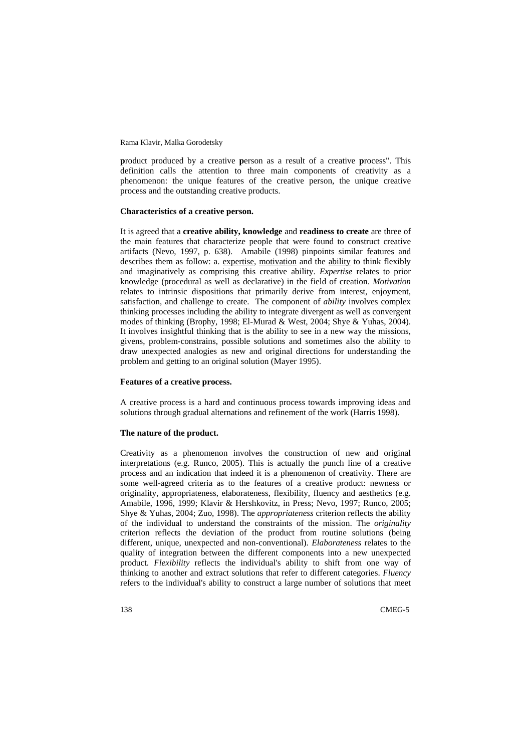Rama Klavir, Malka Gorodetsky

**p**roduct produced by a creative **p**erson as a result of a creative **p**rocess". This definition calls the attention to three main components of creativity as a phenomenon: the unique features of the creative person, the unique creative process and the outstanding creative products.

#### **Characteristics of a creative person.**

It is agreed that a **creative ability, knowledge** and **readiness to create** are three of the main features that characterize people that were found to construct creative artifacts (Nevo, 1997, p. 638). Amabile (1998) pinpoints similar features and describes them as follow: a. expertise, motivation and the ability to think flexibly and imaginatively as comprising this creative ability. *Expertise* relates to prior knowledge (procedural as well as declarative) in the field of creation. *Motivation* relates to intrinsic dispositions that primarily derive from interest, enjoyment, satisfaction, and challenge to create. The component of *ability* involves complex thinking processes including the ability to integrate divergent as well as convergent modes of thinking (Brophy, 1998; El-Murad & West, 2004; Shye & Yuhas, 2004). It involves insightful thinking that is the ability to see in a new way the missions, givens, problem-constrains, possible solutions and sometimes also the ability to draw unexpected analogies as new and original directions for understanding the problem and getting to an original solution (Mayer 1995).

#### **Features of a creative process.**

A creative process is a hard and continuous process towards improving ideas and solutions through gradual alternations and refinement of the work (Harris 1998).

#### **The nature of the product.**

Creativity as a phenomenon involves the construction of new and original interpretations (e.g. Runco, 2005). This is actually the punch line of a creative process and an indication that indeed it is a phenomenon of creativity. There are some well-agreed criteria as to the features of a creative product: newness or originality, appropriateness, elaborateness, flexibility, fluency and aesthetics (e.g. Amabile, 1996, 1999; Klavir & Hershkovitz, in Press; Nevo, 1997; Runco, 2005; Shye & Yuhas, 2004; Zuo, 1998). The *appropriateness* criterion reflects the ability of the individual to understand the constraints of the mission. The *originality* criterion reflects the deviation of the product from routine solutions (being different, unique, unexpected and non-conventional). *Elaborateness* relates to the quality of integration between the different components into a new unexpected product. *Flexibility* reflects the individual's ability to shift from one way of thinking to another and extract solutions that refer to different categories. *Fluency* refers to the individual's ability to construct a large number of solutions that meet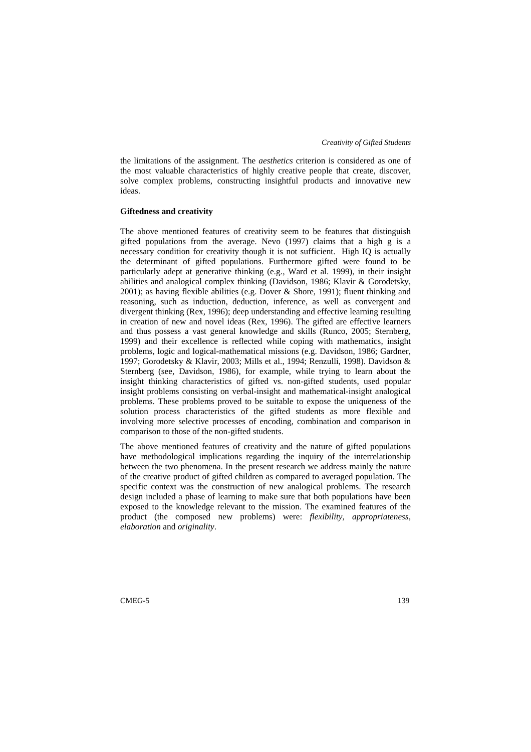#### *Creativity of Gifted Students*

the limitations of the assignment. The *aesthetics* criterion is considered as one of the most valuable characteristics of highly creative people that create, discover, solve complex problems, constructing insightful products and innovative new ideas.

#### **Giftedness and creativity**

The above mentioned features of creativity seem to be features that distinguish gifted populations from the average. Nevo (1997) claims that a high g is a necessary condition for creativity though it is not sufficient. High IQ is actually the determinant of gifted populations. Furthermore gifted were found to be particularly adept at generative thinking (e.g., Ward et al. 1999), in their insight abilities and analogical complex thinking (Davidson, 1986; Klavir & Gorodetsky, 2001); as having flexible abilities (e.g. Dover & Shore, 1991); fluent thinking and reasoning, such as induction, deduction, inference, as well as convergent and divergent thinking (Rex, 1996); deep understanding and effective learning resulting in creation of new and novel ideas (Rex, 1996). The gifted are effective learners and thus possess a vast general knowledge and skills (Runco, 2005; Sternberg, 1999) and their excellence is reflected while coping with mathematics, insight problems, logic and logical-mathematical missions (e.g. Davidson, 1986; Gardner, 1997; Gorodetsky & Klavir, 2003; Mills et al., 1994; Renzulli, 1998). Davidson & Sternberg (see, Davidson, 1986), for example, while trying to learn about the insight thinking characteristics of gifted vs. non-gifted students, used popular insight problems consisting on verbal-insight and mathematical-insight analogical problems. These problems proved to be suitable to expose the uniqueness of the solution process characteristics of the gifted students as more flexible and involving more selective processes of encoding, combination and comparison in comparison to those of the non-gifted students.

The above mentioned features of creativity and the nature of gifted populations have methodological implications regarding the inquiry of the interrelationship between the two phenomena. In the present research we address mainly the nature of the creative product of gifted children as compared to averaged population. The specific context was the construction of new analogical problems. The research design included a phase of learning to make sure that both populations have been exposed to the knowledge relevant to the mission. The examined features of the product (the composed new problems) were: *flexibility, appropriateness, elaboration* and *originality*.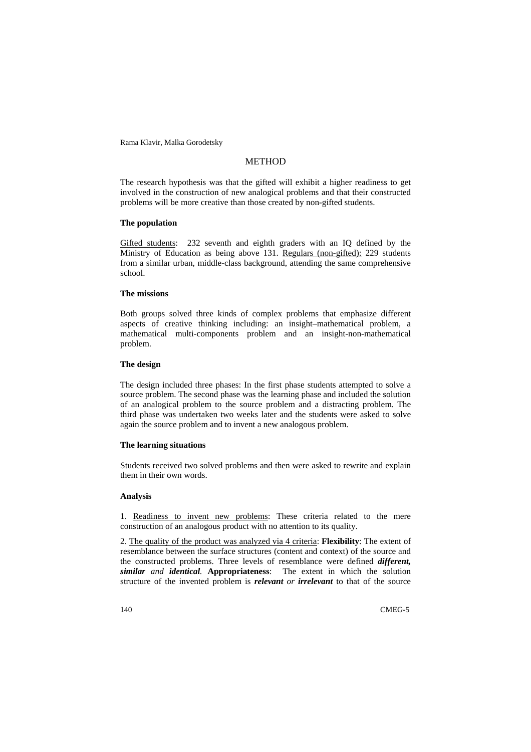Rama Klavir, Malka Gorodetsky

# **METHOD**

The research hypothesis was that the gifted will exhibit a higher readiness to get involved in the construction of new analogical problems and that their constructed problems will be more creative than those created by non-gifted students.

#### **The population**

Gifted students: 232 seventh and eighth graders with an IQ defined by the Ministry of Education as being above 131. Regulars (non-gifted): 229 students from a similar urban, middle-class background, attending the same comprehensive school.

#### **The missions**

Both groups solved three kinds of complex problems that emphasize different aspects of creative thinking including: an insight–mathematical problem, a mathematical multi-components problem and an insight-non-mathematical problem.

### **The design**

The design included three phases: In the first phase students attempted to solve a source problem. The second phase was the learning phase and included the solution of an analogical problem to the source problem and a distracting problem. The third phase was undertaken two weeks later and the students were asked to solve again the source problem and to invent a new analogous problem.

#### **The learning situations**

Students received two solved problems and then were asked to rewrite and explain them in their own words.

### **Analysis**

1. Readiness to invent new problems: These criteria related to the mere construction of an analogous product with no attention to its quality.

2. The quality of the product was analyzed via 4 criteria: **Flexibility**: The extent of resemblance between the surface structures (content and context) of the source and the constructed problems. Three levels of resemblance were defined *different, similar and identical.* **Appropriateness**: The extent in which the solution structure of the invented problem is *relevant or irrelevant* to that of the source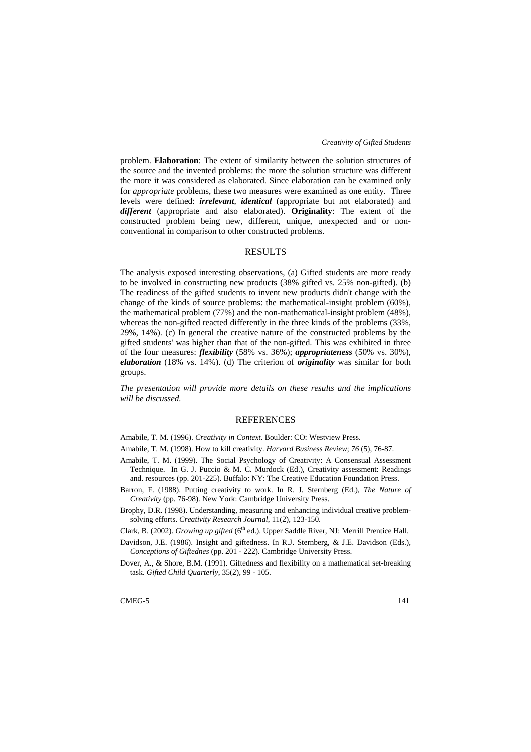problem. **Elaboration**: The extent of similarity between the solution structures of the source and the invented problems: the more the solution structure was different the more it was considered as elaborated. Since elaboration can be examined only for *appropriate* problems, these two measures were examined as one entity. Three levels were defined: *irrelevant*, *identical* (appropriate but not elaborated) and *different* (appropriate and also elaborated). **Originality**: The extent of the constructed problem being new, different, unique, unexpected and or nonconventional in comparison to other constructed problems.

### RESULTS

The analysis exposed interesting observations, (a) Gifted students are more ready to be involved in constructing new products (38% gifted vs. 25% non-gifted). (b) The readiness of the gifted students to invent new products didn't change with the change of the kinds of source problems: the mathematical-insight problem (60%), the mathematical problem (77%) and the non-mathematical-insight problem (48%), whereas the non-gifted reacted differently in the three kinds of the problems (33%, 29%, 14%). (c) In general the creative nature of the constructed problems by the gifted students' was higher than that of the non-gifted. This was exhibited in three of the four measures: *flexibility* (58% vs. 36%); *appropriateness* (50% vs. 30%), *elaboration* (18% vs. 14%). (d) The criterion of *originality* was similar for both groups.

*The presentation will provide more details on these results and the implications will be discussed.* 

### **REFERENCES**

Amabile, T. M. (1996). *Creativity in Context*. Boulder: CO: Westview Press.

Amabile, T. M. (1998). How to kill creativity. *Harvard Business Review*; *76* (5), 76-87.

- Amabile, T. M. (1999). The Social Psychology of Creativity: A Consensual Assessment Technique. In G. J. Puccio & M. C. Murdock (Ed.), Creativity assessment: Readings and. resources (pp. 201-225). Buffalo: NY: The Creative Education Foundation Press.
- Barron, F. (1988). Putting creativity to work. In R. J. Sternberg (Ed.), *The Nature of Creativity* (pp. 76-98). New York: Cambridge University Press.
- Brophy, D.R. (1998). Understanding, measuring and enhancing individual creative problemsolving efforts. *Creativity Research Journal*, 11(2), 123-150.
- Clark, B. (2002). *Growing up gifted* (6<sup>th</sup> ed.). Upper Saddle River, NJ: Merrill Prentice Hall.
- Davidson, J.E. (1986). Insight and giftedness. In R.J. Sternberg, & J.E. Davidson (Eds.), *Conceptions of Giftednes* (pp. 201 - 222). Cambridge University Press.
- Dover, A., & Shore, B.M. (1991). Giftedness and flexibility on a mathematical set-breaking task. *Gifted Child Quarterly*, 35(2), 99 - 105.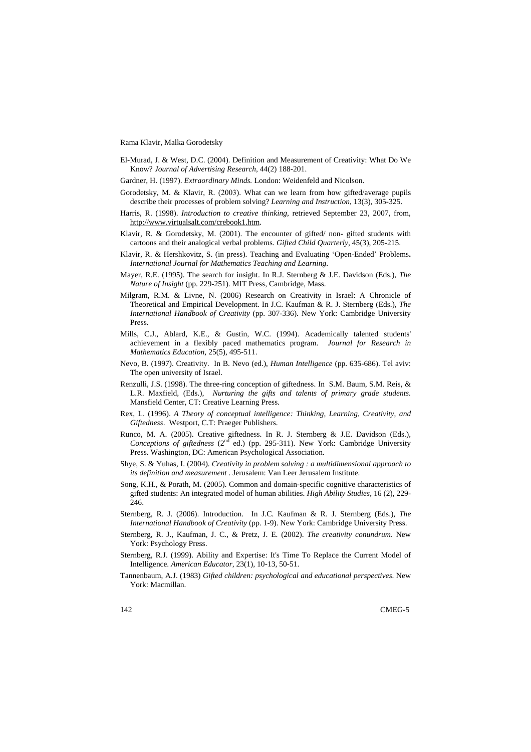Rama Klavir, Malka Gorodetsky

- El-Murad, J. & West, D.C. (2004). Definition and Measurement of Creativity: What Do We Know? *Journal of Advertising Research*, 44(2) 188-201.
- Gardner, H. (1997). *Extraordinary Minds.* London: Weidenfeld and Nicolson.
- Gorodetsky, M. & Klavir, R. (2003). What can we learn from how gifted/average pupils describe their processes of problem solving? *Learning and Instruction*, 13(3), 305-325.
- Harris, R. (1998). *Introduction to creative thinking,* retrieved September 23, 2007, from, http://www.virtualsalt.com/crebook1.htm.
- Klavir, R. & Gorodetsky, M. (2001). The encounter of gifted/ non- gifted students with cartoons and their analogical verbal problems. *Gifted Child Quarterly,* 45(3), 205-215.
- Klavir, R. & Hershkovitz, S. (in press). Teaching and Evaluating 'Open-Ended' Problems**.**  *International Journal for Mathematics Teaching and Learning*.
- Mayer, R.E. (1995). The search for insight. In R.J. Sternberg & J.E. Davidson (Eds.), *The Nature of Insight* (pp. 229-251). MIT Press, Cambridge, Mass.
- Milgram, R.M. & Livne, N. (2006) Research on Creativity in Israel: A Chronicle of Theoretical and Empirical Development. In J.C. Kaufman & R. J. Sternberg (Eds.), *The International Handbook of Creativity* (pp. 307-336). New York: Cambridge University Press.
- Mills, C.J., Ablard, K.E., & Gustin, W.C. (1994). Academically talented students' achievement in a flexibly paced mathematics program. *Journal for Research in Mathematics Education,* 25(5), 495-511.
- Nevo, B. (1997). Creativity. In B. Nevo (ed.), *Human Intelligence* (pp. 635-686). Tel aviv: The open university of Israel.
- Renzulli, J.S. (1998). The three-ring conception of giftedness. In S.M. Baum, S.M. Reis, & L.R. Maxfield, (Eds.), *Nurturing the gifts and talents of primary grade students*. Mansfield Center, CT: Creative Learning Press.
- Rex, L. (1996). *A Theory of conceptual intelligence: Thinking, Learning, Creativity, and Giftedness*. Westport, C.T: Praeger Publishers.
- Runco, M. A. (2005). Creative giftedness. In R. J. Sternberg & J.E. Davidson (Eds.), *Conceptions of giftedness*  $(2^{nd}$  ed.) (pp. 295-311). New York: Cambridge University Press. Washington, DC: American Psychological Association.
- Shye, S. & Yuhas, I. (2004). *Creativity in problem solving : a multidimensional approach to its definition and measurement* . Jerusalem: Van Leer Jerusalem Institute.
- Song, K.H., & Porath, M. (2005). Common and domain-specific cognitive characteristics of gifted students: An integrated model of human abilities. *High Ability Studies*, 16 (2), 229- 246.
- Sternberg, R. J. (2006). Introduction. In J.C. Kaufman & R. J. Sternberg (Eds.), *The International Handbook of Creativity* (pp. 1-9). New York: Cambridge University Press.
- Sternberg, R. J., Kaufman, J. C., & Pretz, J. E. (2002). *The creativity conundrum*. New York: Psychology Press.
- Sternberg, R.J. (1999). Ability and Expertise: It's Time To Replace the Current Model of Intelligence. *American Educator*, 23(1), 10-13, 50-51.
- Tannenbaum, A.J. (1983) *Gifted children: psychological and educational perspectives*. New York: Macmillan.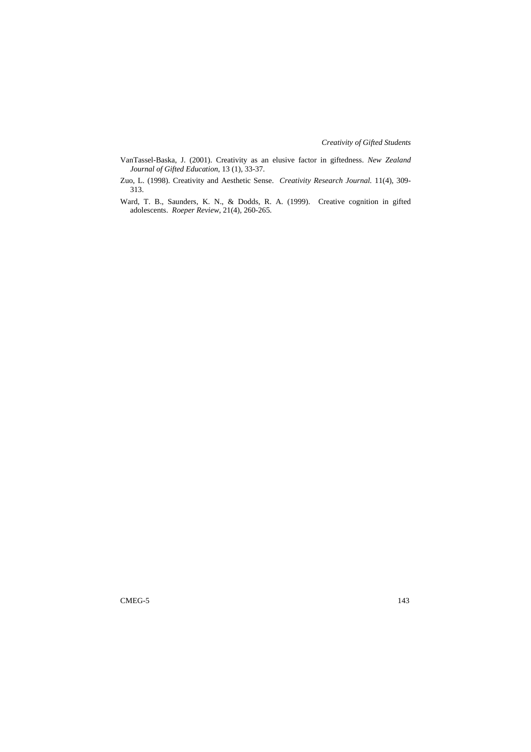*Creativity of Gifted Students* 

- VanTassel-Baska, J. (2001). Creativity as an elusive factor in giftedness. *New Zealand Journal of Gifted Education*, 13 (1), 33-37.
- Zuo, L. (1998). Creativity and Aesthetic Sense. *Creativity Research Journal.* 11(4), 309- 313.
- Ward, T. B., Saunders, K. N., & Dodds, R. A. (1999). Creative cognition in gifted adolescents. *Roeper Review*, 21(4), 260-265.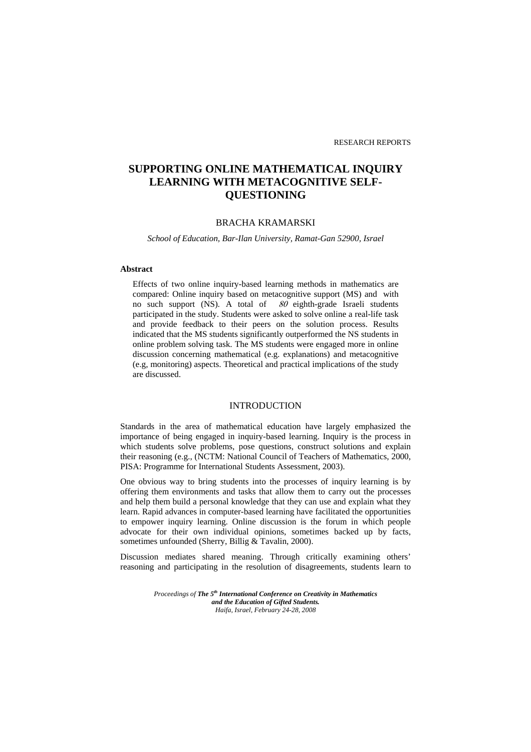# **SUPPORTING ONLINE MATHEMATICAL INQUIRY LEARNING WITH METACOGNITIVE SELF-QUESTIONING**

### BRACHA KRAMARSKI

*School of Education, Bar-Ilan University, Ramat-Gan 52900, Israel* 

### **Abstract**

Effects of two online inquiry-based learning methods in mathematics are compared: Online inquiry based on metacognitive support (MS) and with no such support (NS). A total of  $80$  eighth-grade Israeli students participated in the study. Students were asked to solve online a real-life task and provide feedback to their peers on the solution process. Results indicated that the MS students significantly outperformed the NS students in online problem solving task. The MS students were engaged more in online discussion concerning mathematical (e.g. explanations) and metacognitive (e.g, monitoring) aspects. Theoretical and practical implications of the study are discussed.

### INTRODUCTION

Standards in the area of mathematical education have largely emphasized the importance of being engaged in inquiry-based learning. Inquiry is the process in which students solve problems, pose questions, construct solutions and explain their reasoning (e.g., (NCTM: National Council of Teachers of Mathematics, 2000, PISA: Programme for International Students Assessment, 2003).

One obvious way to bring students into the processes of inquiry learning is by offering them environments and tasks that allow them to carry out the processes and help them build a personal knowledge that they can use and explain what they learn. Rapid advances in computer-based learning have facilitated the opportunities to empower inquiry learning. Online discussion is the forum in which people advocate for their own individual opinions, sometimes backed up by facts, sometimes unfounded (Sherry, Billig & Tavalin, 2000).

Discussion mediates shared meaning. Through critically examining others' reasoning and participating in the resolution of disagreements, students learn to

> *Proceedings of The 5th International Conference on Creativity in Mathematics and the Education of Gifted Students. Haifa, Israel, February 24-28, 2008*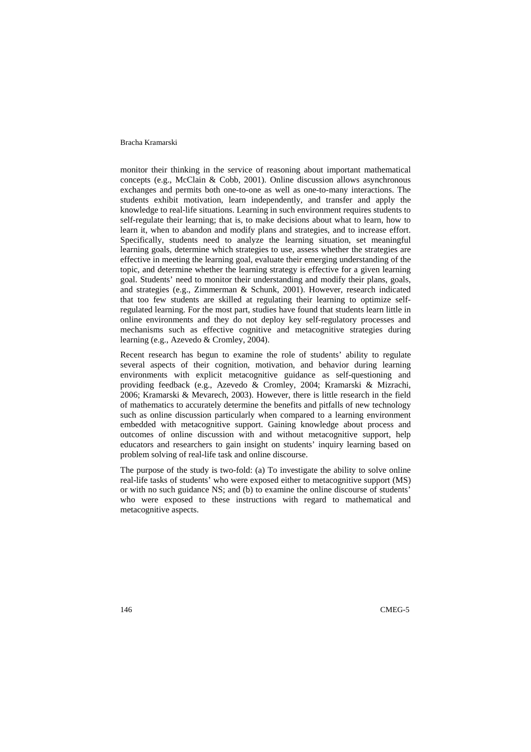### Bracha Kramarski

monitor their thinking in the service of reasoning about important mathematical concepts (e.g., McClain & Cobb, 2001). Online discussion allows asynchronous exchanges and permits both one-to-one as well as one-to-many interactions. The students exhibit motivation, learn independently, and transfer and apply the knowledge to real-life situations. Learning in such environment requires students to self-regulate their learning; that is, to make decisions about what to learn, how to learn it, when to abandon and modify plans and strategies, and to increase effort. Specifically, students need to analyze the learning situation, set meaningful learning goals, determine which strategies to use, assess whether the strategies are effective in meeting the learning goal, evaluate their emerging understanding of the topic, and determine whether the learning strategy is effective for a given learning goal. Students' need to monitor their understanding and modify their plans, goals, and strategies (e.g., Zimmerman & Schunk, 2001). However, research indicated that too few students are skilled at regulating their learning to optimize selfregulated learning. For the most part, studies have found that students learn little in online environments and they do not deploy key self-regulatory processes and mechanisms such as effective cognitive and metacognitive strategies during learning (e.g., Azevedo & Cromley, 2004).

Recent research has begun to examine the role of students' ability to regulate several aspects of their cognition, motivation, and behavior during learning environments with explicit metacognitive guidance as self-questioning and providing feedback (e.g., Azevedo & Cromley, 2004; Kramarski & Mizrachi, 2006; Kramarski & Mevarech, 2003). However, there is little research in the field of mathematics to accurately determine the benefits and pitfalls of new technology such as online discussion particularly when compared to a learning environment embedded with metacognitive support. Gaining knowledge about process and outcomes of online discussion with and without metacognitive support, help educators and researchers to gain insight on students' inquiry learning based on problem solving of real-life task and online discourse.

The purpose of the study is two-fold: (a) To investigate the ability to solve online real-life tasks of students' who were exposed either to metacognitive support (MS) or with no such guidance NS; and (b) to examine the online discourse of students' who were exposed to these instructions with regard to mathematical and metacognitive aspects.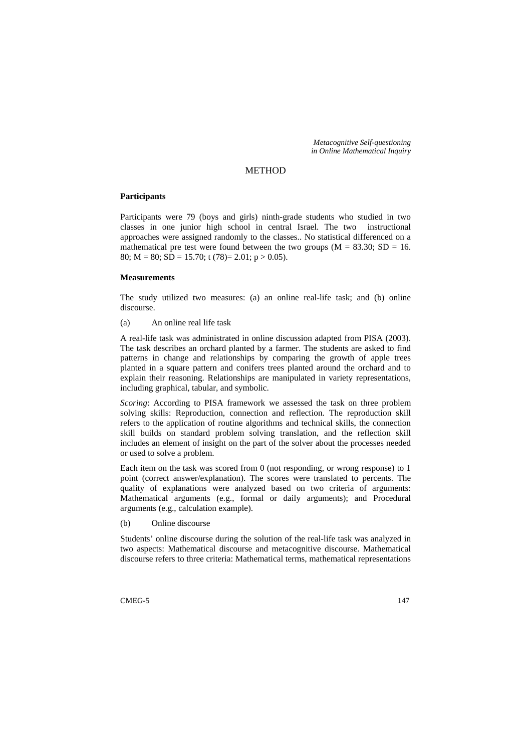*Metacognitive Self-questioning in Online Mathematical Inquiry* 

### METHOD

#### **Participants**

Participants were 79 (boys and girls) ninth-grade students who studied in two classes in one junior high school in central Israel. The two instructional approaches were assigned randomly to the classes.. No statistical differenced on a mathematical pre test were found between the two groups  $(M = 83.30; SD = 16$ . 80;  $M = 80$ ;  $SD = 15.70$ ; t (78)= 2.01; p > 0.05).

#### **Measurements**

The study utilized two measures: (a) an online real-life task; and (b) online discourse.

(a) An online real life task

A real-life task was administrated in online discussion adapted from PISA (2003). The task describes an orchard planted by a farmer. The students are asked to find patterns in change and relationships by comparing the growth of apple trees planted in a square pattern and conifers trees planted around the orchard and to explain their reasoning. Relationships are manipulated in variety representations, including graphical, tabular, and symbolic.

*Scoring*: According to PISA framework we assessed the task on three problem solving skills: Reproduction, connection and reflection. The reproduction skill refers to the application of routine algorithms and technical skills, the connection skill builds on standard problem solving translation, and the reflection skill includes an element of insight on the part of the solver about the processes needed or used to solve a problem.

Each item on the task was scored from 0 (not responding, or wrong response) to 1 point (correct answer/explanation). The scores were translated to percents. The quality of explanations were analyzed based on two criteria of arguments: Mathematical arguments (e.g., formal or daily arguments); and Procedural arguments (e.g., calculation example).

(b) Online discourse

Students' online discourse during the solution of the real-life task was analyzed in two aspects: Mathematical discourse and metacognitive discourse. Mathematical discourse refers to three criteria: Mathematical terms, mathematical representations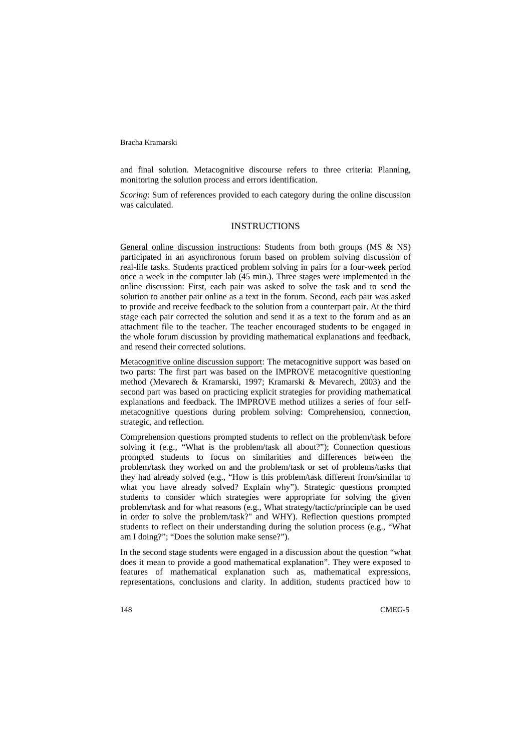#### Bracha Kramarski

and final solution. Metacognitive discourse refers to three criteria: Planning, monitoring the solution process and errors identification.

*Scoring*: Sum of references provided to each category during the online discussion was calculated.

### **INSTRUCTIONS**

General online discussion instructions: Students from both groups (MS & NS) participated in an asynchronous forum based on problem solving discussion of real-life tasks. Students practiced problem solving in pairs for a four-week period once a week in the computer lab (45 min.). Three stages were implemented in the online discussion: First, each pair was asked to solve the task and to send the solution to another pair online as a text in the forum. Second, each pair was asked to provide and receive feedback to the solution from a counterpart pair. At the third stage each pair corrected the solution and send it as a text to the forum and as an attachment file to the teacher. The teacher encouraged students to be engaged in the whole forum discussion by providing mathematical explanations and feedback, and resend their corrected solutions.

Metacognitive online discussion support: The metacognitive support was based on two parts: The first part was based on the IMPROVE metacognitive questioning method (Mevarech & Kramarski, 1997; Kramarski & Mevarech, 2003) and the second part was based on practicing explicit strategies for providing mathematical explanations and feedback. The IMPROVE method utilizes a series of four selfmetacognitive questions during problem solving: Comprehension, connection, strategic, and reflection.

Comprehension questions prompted students to reflect on the problem/task before solving it (e.g., "What is the problem/task all about?"); Connection questions prompted students to focus on similarities and differences between the problem/task they worked on and the problem/task or set of problems/tasks that they had already solved (e.g., "How is this problem/task different from/similar to what you have already solved? Explain why"). Strategic questions prompted students to consider which strategies were appropriate for solving the given problem/task and for what reasons (e.g., What strategy/tactic/principle can be used in order to solve the problem/task?" and WHY). Reflection questions prompted students to reflect on their understanding during the solution process (e.g., "What am I doing?"; "Does the solution make sense?").

In the second stage students were engaged in a discussion about the question "what does it mean to provide a good mathematical explanation". They were exposed to features of mathematical explanation such as, mathematical expressions, representations, conclusions and clarity. In addition, students practiced how to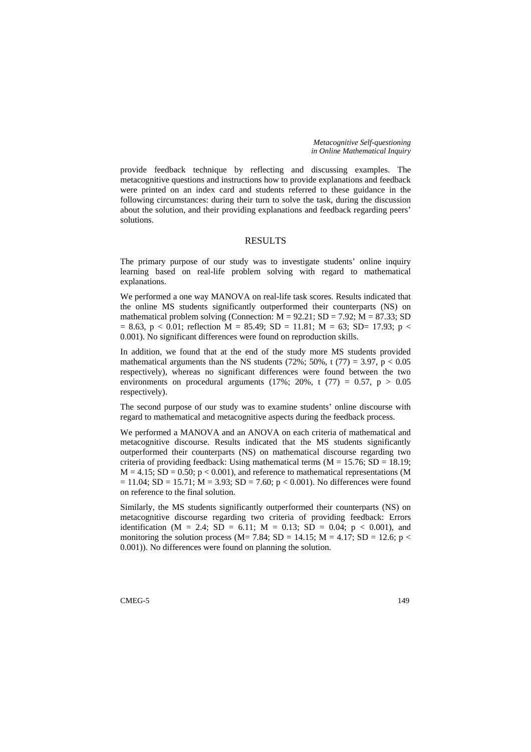*Metacognitive Self-questioning in Online Mathematical Inquiry* 

provide feedback technique by reflecting and discussing examples. The metacognitive questions and instructions how to provide explanations and feedback were printed on an index card and students referred to these guidance in the following circumstances: during their turn to solve the task, during the discussion about the solution, and their providing explanations and feedback regarding peers' solutions.

### RESULTS

The primary purpose of our study was to investigate students' online inquiry learning based on real-life problem solving with regard to mathematical explanations.

We performed a one way MANOVA on real-life task scores. Results indicated that the online MS students significantly outperformed their counterparts (NS) on mathematical problem solving (Connection:  $M = 92.21$ ;  $SD = 7.92$ ;  $M = 87.33$ ; SD  $= 8.63$ , p < 0.01; reflection M = 85.49; SD = 11.81; M = 63; SD= 17.93; p < 0.001). No significant differences were found on reproduction skills.

In addition, we found that at the end of the study more MS students provided mathematical arguments than the NS students (72%; 50%, t (77) = 3.97,  $p < 0.05$ respectively), whereas no significant differences were found between the two environments on procedural arguments (17%; 20%, t (77) = 0.57,  $p > 0.05$ respectively).

The second purpose of our study was to examine students' online discourse with regard to mathematical and metacognitive aspects during the feedback process.

We performed a MANOVA and an ANOVA on each criteria of mathematical and metacognitive discourse. Results indicated that the MS students significantly outperformed their counterparts (NS) on mathematical discourse regarding two criteria of providing feedback: Using mathematical terms ( $M = 15.76$ ; SD = 18.19;  $M = 4.15$ ; SD = 0.50;  $p < 0.001$ ), and reference to mathematical representations (M  $= 11.04$ ; SD = 15.71; M = 3.93; SD = 7.60; p < 0.001). No differences were found on reference to the final solution.

Similarly, the MS students significantly outperformed their counterparts (NS) on metacognitive discourse regarding two criteria of providing feedback: Errors identification (M = 2.4; SD = 6.11; M = 0.13; SD = 0.04; p < 0.001), and monitoring the solution process (M= 7.84; SD = 14.15; M = 4.17; SD = 12.6; p < 0.001)). No differences were found on planning the solution.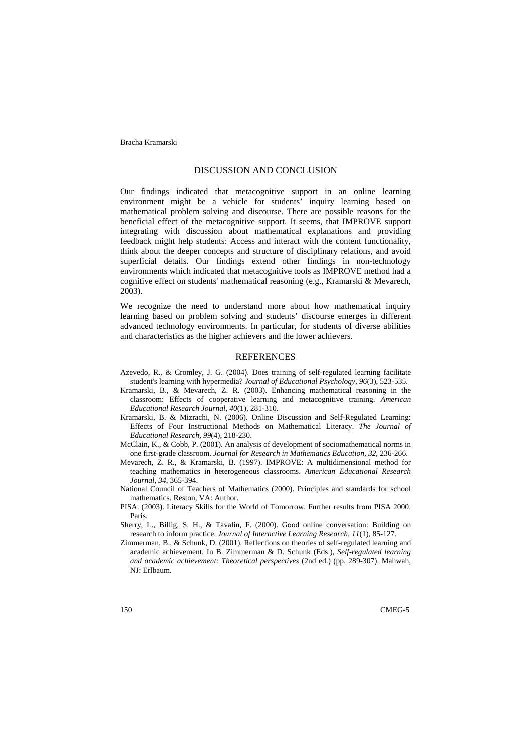Bracha Kramarski

#### DISCUSSION AND CONCLUSION

Our findings indicated that metacognitive support in an online learning environment might be a vehicle for students' inquiry learning based on mathematical problem solving and discourse. There are possible reasons for the beneficial effect of the metacognitive support. It seems, that IMPROVE support integrating with discussion about mathematical explanations and providing feedback might help students: Access and interact with the content functionality, think about the deeper concepts and structure of disciplinary relations, and avoid superficial details. Our findings extend other findings in non-technology environments which indicated that metacognitive tools as IMPROVE method had a cognitive effect on students' mathematical reasoning (e.g., Kramarski & Mevarech, 2003).

We recognize the need to understand more about how mathematical inquiry learning based on problem solving and students' discourse emerges in different advanced technology environments. In particular, for students of diverse abilities and characteristics as the higher achievers and the lower achievers.

### REFERENCES

- Azevedo, R., & Cromley, J. G. (2004). Does training of self-regulated learning facilitate student's learning with hypermedia? *Journal of Educational Psychology, 96*(3), 523-535.
- Kramarski, B., & Mevarech, Z. R. (2003). Enhancing mathematical reasoning in the classroom: Effects of cooperative learning and metacognitive training. *American Educational Research Journal, 40*(1), 281-310.
- Kramarski, B. & Mizrachi, N. (2006). Online Discussion and Self-Regulated Learning: Effects of Four Instructional Methods on Mathematical Literacy. *The Journal of Educational Research, 99*(4), 218-230.
- McClain, K., & Cobb, P. (2001). An analysis of development of sociomathematical norms in one first-grade classroom. *Journal for Research in Mathematics Education, 32*, 236-266.
- Mevarech, Z. R., & Kramarski, B. (1997). IMPROVE: A multidimensional method for teaching mathematics in heterogeneous classrooms. *American Educational Research Journal, 34*, 365-394.
- National Council of Teachers of Mathematics (2000). Principles and standards for school mathematics. Reston, VA: Author.
- PISA. (2003). Literacy Skills for the World of Tomorrow. Further results from PISA 2000. Paris.
- Sherry, L., Billig, S. H., & Tavalin, F. (2000). Good online conversation: Building on research to inform practice. *Journal of Interactive Learning Research, 11*(1), 85-127.
- Zimmerman, B., & Schunk, D. (2001). Reflections on theories of self-regulated learning and academic achievement. In B. Zimmerman & D. Schunk (Eds.), *Self-regulated learning and academic achievement: Theoretical perspectives* (2nd ed.) (pp. 289-307). Mahwah, NJ: Erlbaum.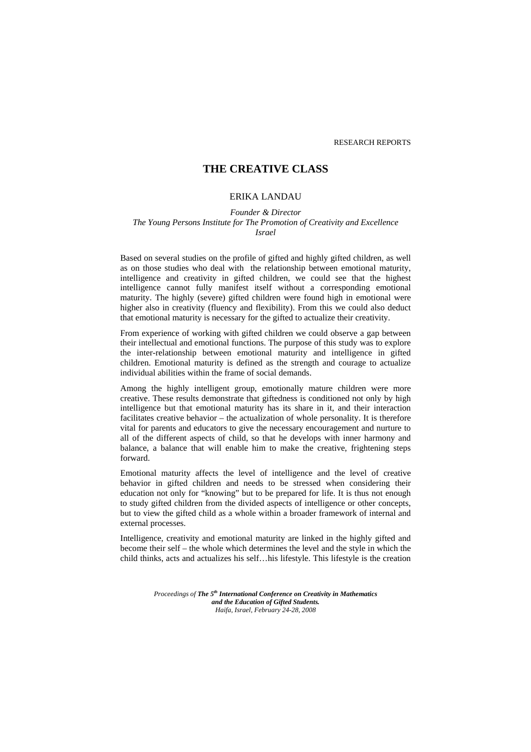RESEARCH REPORTS

# **THE CREATIVE CLASS**

# ERIKA LANDAU

*Founder & Director The Young Persons Institute for The Promotion of Creativity and Excellence Israel*

Based on several studies on the profile of gifted and highly gifted children, as well as on those studies who deal with the relationship between emotional maturity, intelligence and creativity in gifted children, we could see that the highest intelligence cannot fully manifest itself without a corresponding emotional maturity. The highly (severe) gifted children were found high in emotional were higher also in creativity (fluency and flexibility). From this we could also deduct that emotional maturity is necessary for the gifted to actualize their creativity.

From experience of working with gifted children we could observe a gap between their intellectual and emotional functions. The purpose of this study was to explore the inter-relationship between emotional maturity and intelligence in gifted children. Emotional maturity is defined as the strength and courage to actualize individual abilities within the frame of social demands.

Among the highly intelligent group, emotionally mature children were more creative. These results demonstrate that giftedness is conditioned not only by high intelligence but that emotional maturity has its share in it, and their interaction facilitates creative behavior – the actualization of whole personality. It is therefore vital for parents and educators to give the necessary encouragement and nurture to all of the different aspects of child, so that he develops with inner harmony and balance, a balance that will enable him to make the creative, frightening steps forward.

Emotional maturity affects the level of intelligence and the level of creative behavior in gifted children and needs to be stressed when considering their education not only for "knowing" but to be prepared for life. It is thus not enough to study gifted children from the divided aspects of intelligence or other concepts, but to view the gifted child as a whole within a broader framework of internal and external processes.

Intelligence, creativity and emotional maturity are linked in the highly gifted and become their self – the whole which determines the level and the style in which the child thinks, acts and actualizes his self…his lifestyle. This lifestyle is the creation

> *Proceedings of The 5th International Conference on Creativity in Mathematics and the Education of Gifted Students. Haifa, Israel, February 24-28, 2008*